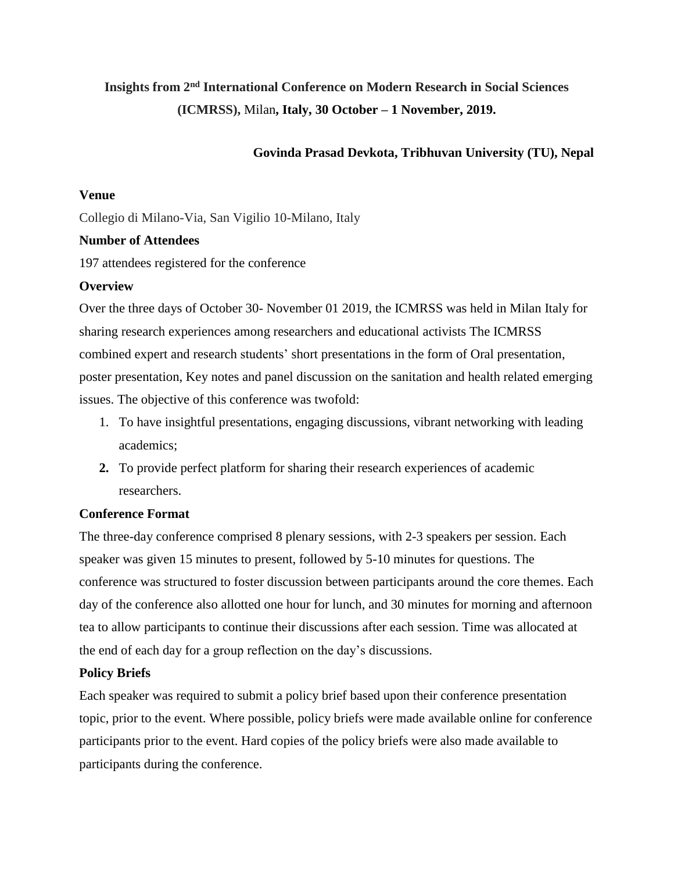# **Insights from 2nd International Conference on Modern Research in Social Sciences (ICMRSS),** Milan**, Italy, 30 October – 1 November, 2019.**

# **Govinda Prasad Devkota, Tribhuvan University (TU), Nepal**

#### **Venue**

Collegio di Milano-Via, San Vigilio 10-Milano, Italy

### **Number of Attendees**

197 attendees registered for the conference

## **Overview**

Over the three days of October 30- November 01 2019, the ICMRSS was held in Milan Italy for sharing research experiences among researchers and educational activists The ICMRSS combined expert and research students' short presentations in the form of Oral presentation, poster presentation, Key notes and panel discussion on the sanitation and health related emerging issues. The objective of this conference was twofold:

- 1. To have insightful presentations, engaging discussions, vibrant networking with leading academics;
- **2.** To provide perfect platform for sharing their research experiences of academic researchers.

# **Conference Format**

The three-day conference comprised 8 plenary sessions, with 2-3 speakers per session. Each speaker was given 15 minutes to present, followed by 5-10 minutes for questions. The conference was structured to foster discussion between participants around the core themes. Each day of the conference also allotted one hour for lunch, and 30 minutes for morning and afternoon tea to allow participants to continue their discussions after each session. Time was allocated at the end of each day for a group reflection on the day's discussions.

### **Policy Briefs**

Each speaker was required to submit a policy brief based upon their conference presentation topic, prior to the event. Where possible, policy briefs were made available online for conference participants prior to the event. Hard copies of the policy briefs were also made available to participants during the conference.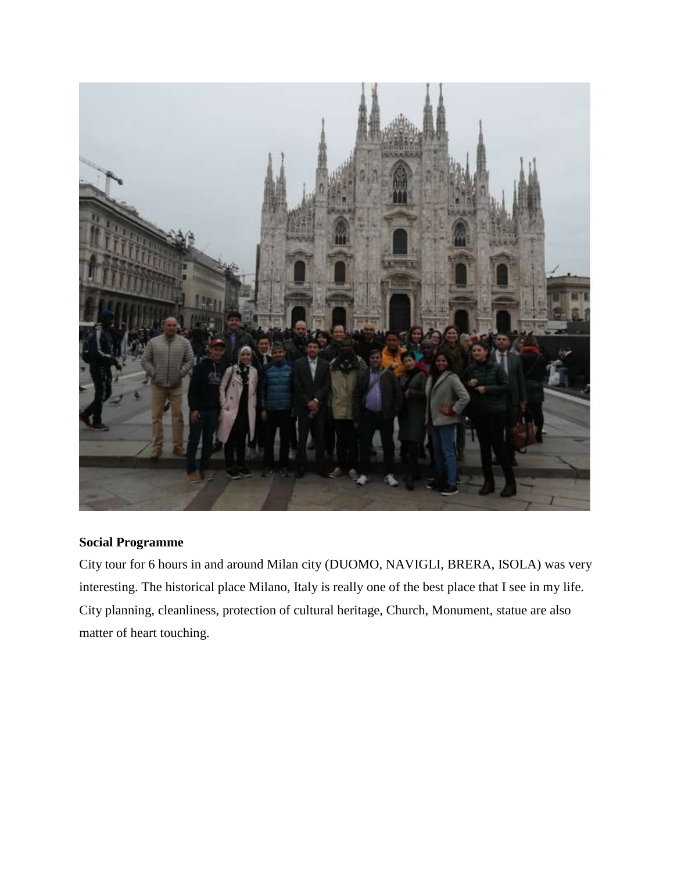

# **Social Programme**

City tour for 6 hours in and around Milan city (DUOMO, NAVIGLI, BRERA, ISOLA) was very interesting. The historical place Milano, Italy is really one of the best place that I see in my life. City planning, cleanliness, protection of cultural heritage, Church, Monument, statue are also matter of heart touching.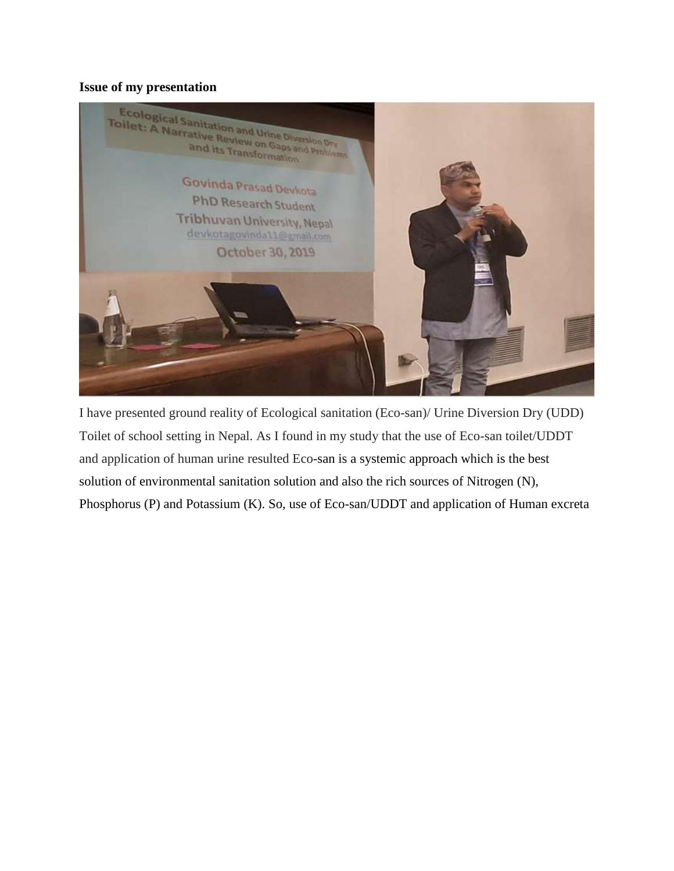#### **Issue of my presentation**



I have presented ground reality of Ecological sanitation (Eco-san)/ Urine Diversion Dry (UDD) Toilet of school setting in Nepal. As I found in my study that the use of Eco-san toilet/UDDT and application of human urine resulted Eco-san is a systemic approach which is the best solution of environmental sanitation solution and also the rich sources of Nitrogen (N), Phosphorus (P) and Potassium (K). So, use of Eco-san/UDDT and application of Human excreta